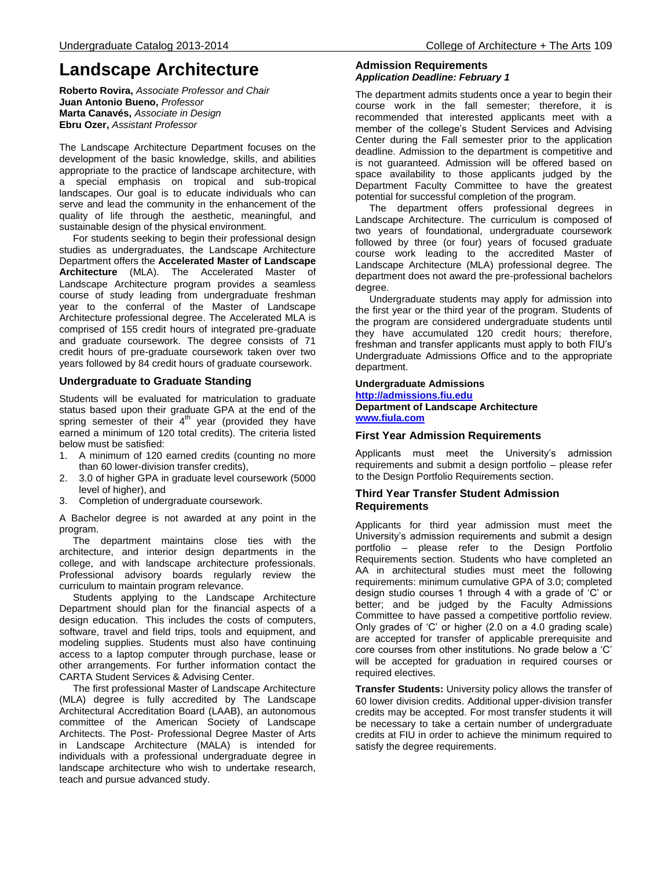# **Landscape Architecture**

**Roberto Rovira,** *Associate Professor and Chair* **Juan Antonio Bueno,** *Professor* **Marta Canavés,** *Associate in Design* **Ebru Ozer,** *Assistant Professor*

The Landscape Architecture Department focuses on the development of the basic knowledge, skills, and abilities appropriate to the practice of landscape architecture, with a special emphasis on tropical and sub-tropical landscapes. Our goal is to educate individuals who can serve and lead the community in the enhancement of the quality of life through the aesthetic, meaningful, and sustainable design of the physical environment.

 For students seeking to begin their professional design studies as undergraduates, the Landscape Architecture Department offers the **Accelerated Master of Landscape Architecture** (MLA). The Accelerated Master of Landscape Architecture program provides a seamless course of study leading from undergraduate freshman year to the conferral of the Master of Landscape Architecture professional degree. The Accelerated MLA is comprised of 155 credit hours of integrated pre-graduate and graduate coursework. The degree consists of 71 credit hours of pre-graduate coursework taken over two years followed by 84 credit hours of graduate coursework.

### **Undergraduate to Graduate Standing**

Students will be evaluated for matriculation to graduate status based upon their graduate GPA at the end of the spring semester of their  $4<sup>th</sup>$  year (provided they have earned a minimum of 120 total credits). The criteria listed below must be satisfied:

- 1. A minimum of 120 earned credits (counting no more than 60 lower-division transfer credits),
- 2. 3.0 of higher GPA in graduate level coursework (5000 level of higher), and
- 3. Completion of undergraduate coursework.

A Bachelor degree is not awarded at any point in the program.

 The department maintains close ties with the architecture, and interior design departments in the college, and with landscape architecture professionals. Professional advisory boards regularly review the curriculum to maintain program relevance.

 Students applying to the Landscape Architecture Department should plan for the financial aspects of a design education. This includes the costs of computers, software, travel and field trips, tools and equipment, and modeling supplies. Students must also have continuing access to a laptop computer through purchase, lease or other arrangements. For further information contact the CARTA Student Services & Advising Center.

 The first professional Master of Landscape Architecture (MLA) degree is fully accredited by The Landscape Architectural Accreditation Board (LAAB), an autonomous committee of the American Society of Landscape Architects. The Post- Professional Degree Master of Arts in Landscape Architecture (MALA) is intended for individuals with a professional undergraduate degree in landscape architecture who wish to undertake research, teach and pursue advanced study.

### **Admission Requirements** *Application Deadline: February 1*

The department admits students once a year to begin their course work in the fall semester; therefore, it is recommended that interested applicants meet with a member of the college's Student Services and Advising Center during the Fall semester prior to the application deadline. Admission to the department is competitive and is not guaranteed. Admission will be offered based on space availability to those applicants judged by the Department Faculty Committee to have the greatest potential for successful completion of the program.

 The department offers professional degrees in Landscape Architecture. The curriculum is composed of two years of foundational, undergraduate coursework followed by three (or four) years of focused graduate course work leading to the accredited Master of Landscape Architecture (MLA) professional degree. The department does not award the pre-professional bachelors degree.

 Undergraduate students may apply for admission into the first year or the third year of the program. Students of the program are considered undergraduate students until they have accumulated 120 credit hours; therefore, freshman and transfer applicants must apply to both FIU's Undergraduate Admissions Office and to the appropriate department.

## **Undergraduate Admissions**

### **[http://admissions.fiu.edu](http://admissions.fiu.edu/) Department of Landscape Architecture [www.fiula.com](http://www.fiula.com/)**

### **First Year Admission Requirements**

Applicants must meet the University's admission requirements and submit a design portfolio – please refer to the Design Portfolio Requirements section.

### **Third Year Transfer Student Admission Requirements**

Applicants for third year admission must meet the University's admission requirements and submit a design portfolio – please refer to the Design Portfolio Requirements section. Students who have completed an AA in architectural studies must meet the following requirements: minimum cumulative GPA of 3.0; completed design studio courses 1 through 4 with a grade of 'C' or better; and be judged by the Faculty Admissions Committee to have passed a competitive portfolio review. Only grades of 'C' or higher (2.0 on a 4.0 grading scale) are accepted for transfer of applicable prerequisite and core courses from other institutions. No grade below a 'C' will be accepted for graduation in required courses or required electives.

**Transfer Students:** University policy allows the transfer of 60 lower division credits. Additional upper-division transfer credits may be accepted. For most transfer students it will be necessary to take a certain number of undergraduate credits at FIU in order to achieve the minimum required to satisfy the degree requirements.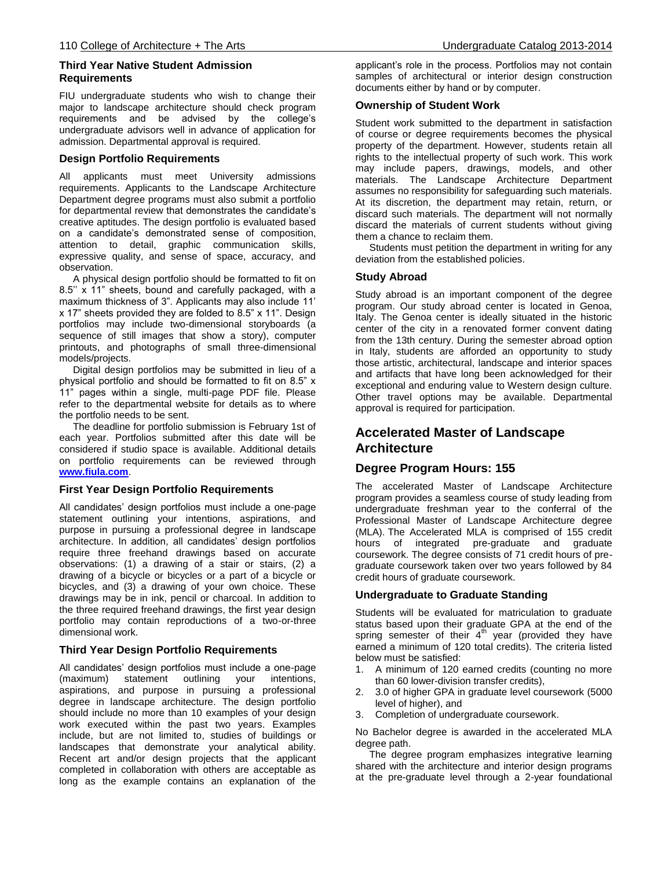### **Third Year Native Student Admission Requirements**

FIU undergraduate students who wish to change their major to landscape architecture should check program requirements and be advised by the college's undergraduate advisors well in advance of application for admission. Departmental approval is required.

### **Design Portfolio Requirements**

applicants must meet University admissions requirements. Applicants to the Landscape Architecture Department degree programs must also submit a portfolio for departmental review that demonstrates the candidate's creative aptitudes. The design portfolio is evaluated based on a candidate's demonstrated sense of composition, attention to detail, graphic communication skills, expressive quality, and sense of space, accuracy, and observation.

 A physical design portfolio should be formatted to fit on 8.5'' x 11" sheets, bound and carefully packaged, with a maximum thickness of 3". Applicants may also include 11' x 17" sheets provided they are folded to 8.5" x 11". Design portfolios may include two-dimensional storyboards (a sequence of still images that show a story), computer printouts, and photographs of small three-dimensional models/projects.

 Digital design portfolios may be submitted in lieu of a physical portfolio and should be formatted to fit on 8.5" x 11" pages within a single, multi-page PDF file. Please refer to the departmental website for details as to where the portfolio needs to be sent.

 The deadline for portfolio submission is February 1st of each year. Portfolios submitted after this date will be considered if studio space is available. Additional details on portfolio requirements can be reviewed through **[www.fiula.com](http://www.fiula.com/)**.

### **First Year Design Portfolio Requirements**

All candidates' design portfolios must include a one-page statement outlining your intentions, aspirations, and purpose in pursuing a professional degree in landscape architecture. In addition, all candidates' design portfolios require three freehand drawings based on accurate observations: (1) a drawing of a stair or stairs, (2) a drawing of a bicycle or bicycles or a part of a bicycle or bicycles, and (3) a drawing of your own choice. These drawings may be in ink, pencil or charcoal. In addition to the three required freehand drawings, the first year design portfolio may contain reproductions of a two-or-three dimensional work.

### **Third Year Design Portfolio Requirements**

All candidates' design portfolios must include a one-page<br>(maximum) statement outlining your intentions. (maximum) statement outlining your intentions, aspirations, and purpose in pursuing a professional degree in landscape architecture. The design portfolio should include no more than 10 examples of your design work executed within the past two years. Examples include, but are not limited to, studies of buildings or landscapes that demonstrate your analytical ability. Recent art and/or design projects that the applicant completed in collaboration with others are acceptable as long as the example contains an explanation of the

applicant's role in the process. Portfolios may not contain samples of architectural or interior design construction documents either by hand or by computer.

### **Ownership of Student Work**

Student work submitted to the department in satisfaction of course or degree requirements becomes the physical property of the department. However, students retain all rights to the intellectual property of such work. This work may include papers, drawings, models, and other materials. The Landscape Architecture Department assumes no responsibility for safeguarding such materials. At its discretion, the department may retain, return, or discard such materials. The department will not normally discard the materials of current students without giving them a chance to reclaim them.

 Students must petition the department in writing for any deviation from the established policies.

### **Study Abroad**

Study abroad is an important component of the degree program. Our study abroad center is located in Genoa, Italy. The Genoa center is ideally situated in the historic center of the city in a renovated former convent dating from the 13th century. During the semester abroad option in Italy, students are afforded an opportunity to study those artistic, architectural, landscape and interior spaces and artifacts that have long been acknowledged for their exceptional and enduring value to Western design culture. Other travel options may be available. Departmental approval is required for participation.

# **Accelerated Master of Landscape Architecture**

### **Degree Program Hours: 155**

The accelerated Master of Landscape Architecture program provides a seamless course of study leading from undergraduate freshman year to the conferral of the Professional Master of Landscape Architecture degree (MLA). The Accelerated MLA is comprised of 155 credit hours of integrated pre-graduate and graduate coursework. The degree consists of 71 credit hours of pregraduate coursework taken over two years followed by 84 credit hours of graduate coursework.

### **Undergraduate to Graduate Standing**

Students will be evaluated for matriculation to graduate status based upon their graduate GPA at the end of the spring semester of their  $4<sup>th</sup>$  year (provided they have earned a minimum of 120 total credits). The criteria listed below must be satisfied:

- 1. A minimum of 120 earned credits (counting no more than 60 lower-division transfer credits),
- 2. 3.0 of higher GPA in graduate level coursework (5000 level of higher), and
- 3. Completion of undergraduate coursework.

No Bachelor degree is awarded in the accelerated MLA degree path.

 The degree program emphasizes integrative learning shared with the architecture and interior design programs at the pre-graduate level through a 2-year foundational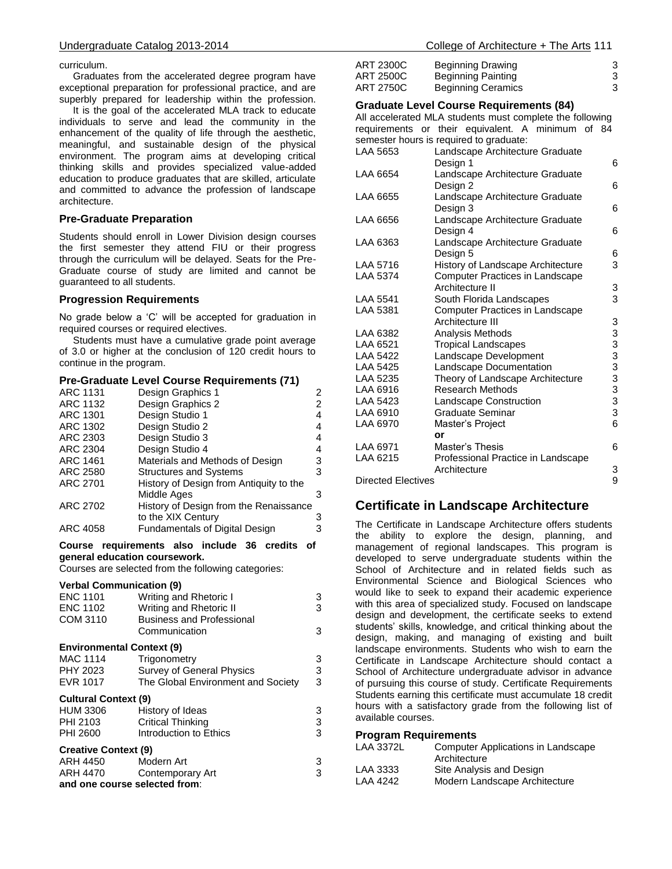curriculum.

 Graduates from the accelerated degree program have exceptional preparation for professional practice, and are superbly prepared for leadership within the profession.

 It is the goal of the accelerated MLA track to educate individuals to serve and lead the community in the enhancement of the quality of life through the aesthetic, meaningful, and sustainable design of the physical environment. The program aims at developing critical thinking skills and provides specialized value-added education to produce graduates that are skilled, articulate and committed to advance the profession of landscape architecture.

### **Pre-Graduate Preparation**

Students should enroll in Lower Division design courses the first semester they attend FIU or their progress through the curriculum will be delayed. Seats for the Pre-Graduate course of study are limited and cannot be guaranteed to all students.

### **Progression Requirements**

No grade below a 'C' will be accepted for graduation in required courses or required electives.

 Students must have a cumulative grade point average of 3.0 or higher at the conclusion of 120 credit hours to continue in the program.

### **Pre-Graduate Level Course Requirements (71)**

| Design Graphics 1                       | 2                               |
|-----------------------------------------|---------------------------------|
| Design Graphics 2                       | 2                               |
| Design Studio 1                         | 4                               |
| Design Studio 2                         | 4                               |
| Design Studio 3                         | 4                               |
| Design Studio 4                         | 4                               |
|                                         | 3                               |
| <b>Structures and Systems</b>           | 3                               |
| History of Design from Antiquity to the |                                 |
| Middle Ages                             | 3                               |
| History of Design from the Renaissance  |                                 |
| to the XIX Century                      | 3                               |
| <b>Fundamentals of Digital Design</b>   | 3                               |
|                                         | Materials and Methods of Design |

### **Course requirements also include 36 credits of general education coursework.**

Courses are selected from the following categories:

### **Verbal Communication (9)**

| <b>ENC 1101</b><br><b>ENC 1102</b><br>COM 3110 | Writing and Rhetoric I<br>Writing and Rhetoric II<br><b>Business and Professional</b><br>Communication | 3<br>3<br>3 |
|------------------------------------------------|--------------------------------------------------------------------------------------------------------|-------------|
| <b>Environmental Context (9)</b>               |                                                                                                        |             |
| <b>MAC 1114</b>                                | Trigonometry                                                                                           | 3           |
| PHY 2023                                       | <b>Survey of General Physics</b>                                                                       | 3           |
| <b>EVR 1017</b>                                | The Global Environment and Society                                                                     | 3           |
| <b>Cultural Context (9)</b>                    |                                                                                                        |             |
| HUM 3306                                       | History of Ideas                                                                                       | 3           |
| PHI 2103                                       | <b>Critical Thinking</b>                                                                               | 3           |
| PHI 2600                                       | Introduction to Ethics                                                                                 | 3           |
| <b>Creative Context (9)</b>                    |                                                                                                        |             |
| ARH 4450                                       | Modern Art                                                                                             | 3           |
| ARH 4470                                       | Contemporary Art                                                                                       | 3           |
|                                                | and one course selected from:                                                                          |             |

| College of Architecture + The Arts 111 |  |
|----------------------------------------|--|
|----------------------------------------|--|

| ART 2300C | <b>Beginning Drawing</b>  |   |
|-----------|---------------------------|---|
| ART 2500C | <b>Beginning Painting</b> |   |
| ART 2750C | <b>Beginning Ceramics</b> | 3 |

### **Graduate Level Course Requirements (84)**

All accelerated MLA students must complete the following requirements or their equivalent. A minimum of 84 semester hours is required to graduate:

| LAA 5653           | Landscape Architecture Graduate<br>Design 1 | 6 |
|--------------------|---------------------------------------------|---|
| LAA 6654           | Landscape Architecture Graduate             |   |
|                    | Design 2                                    | 6 |
| LAA 6655           | Landscape Architecture Graduate             |   |
|                    | Design 3                                    | 6 |
| LAA 6656           | Landscape Architecture Graduate             |   |
|                    | Design 4                                    | 6 |
| LAA 6363           | Landscape Architecture Graduate             |   |
|                    | Design 5                                    | 6 |
| LAA 5716           | History of Landscape Architecture           | 3 |
| LAA 5374           | Computer Practices in Landscape             |   |
|                    | Architecture II                             | 3 |
| LAA 5541           | South Florida Landscapes                    | 3 |
| LAA 5381           | Computer Practices in Landscape             |   |
|                    | Architecture III                            | 3 |
| LAA 6382           | Analysis Methods                            | 3 |
| LAA 6521           | <b>Tropical Landscapes</b>                  | 3 |
| LAA 5422           | Landscape Development                       | 3 |
| LAA 5425           | Landscape Documentation                     | 3 |
| LAA 5235           | Theory of Landscape Architecture            | 3 |
| LAA 6916           | Research Methods                            | 3 |
| LAA 5423           | Landscape Construction                      | 3 |
| LAA 6910           | <b>Graduate Seminar</b>                     | 3 |
| LAA 6970           | Master's Project                            | 6 |
|                    | or                                          |   |
| LAA 6971           | Master's Thesis                             | 6 |
| LAA 6215           | Professional Practice in Landscape          |   |
|                    | Architecture                                | 3 |
| Dirootod Elootivoo |                                             | C |

Directed Electives 9

# **Certificate in Landscape Architecture**

The Certificate in Landscape Architecture offers students the ability to explore the design, planning, and management of regional landscapes. This program is developed to serve undergraduate students within the School of Architecture and in related fields such as Environmental Science and Biological Sciences who would like to seek to expand their academic experience with this area of specialized study. Focused on landscape design and development, the certificate seeks to extend students' skills, knowledge, and critical thinking about the design, making, and managing of existing and built landscape environments. Students who wish to earn the Certificate in Landscape Architecture should contact a School of Architecture undergraduate advisor in advance of pursuing this course of study. Certificate Requirements Students earning this certificate must accumulate 18 credit hours with a satisfactory grade from the following list of available courses.

### **Program Requirements**

| <b>LAA 3372L</b> | Computer Applications in Landscape<br>Architecture |
|------------------|----------------------------------------------------|
| LAA 3333         | Site Analysis and Design                           |
| LAA 4242         | Modern Landscape Architecture                      |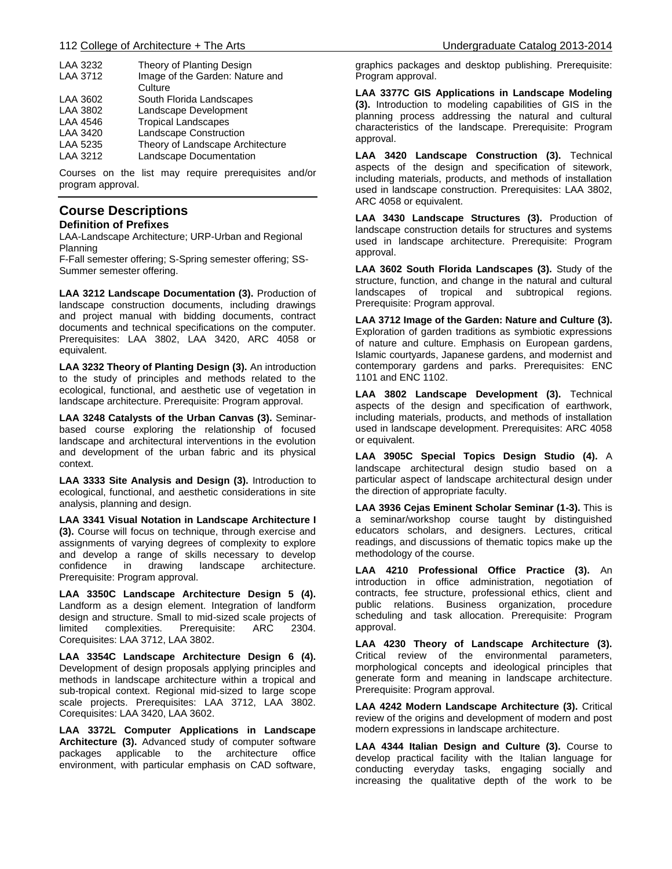| LAA 3232        | Theory of Planting Design        |
|-----------------|----------------------------------|
| <b>LAA 3712</b> | Image of the Garden: Nature and  |
|                 | Culture                          |
| LAA 3602        | South Florida Landscapes         |
| LAA 3802        | Landscape Development            |
| LAA 4546        | <b>Tropical Landscapes</b>       |
| <b>LAA 3420</b> | <b>Landscape Construction</b>    |
| LAA 5235        | Theory of Landscape Architecture |
| LAA 3212        | Landscape Documentation          |
|                 |                                  |

Courses on the list may require prerequisites and/or program approval.

### **Course Descriptions Definition of Prefixes**

LAA-Landscape Architecture; URP-Urban and Regional Planning

F-Fall semester offering; S-Spring semester offering; SS-Summer semester offering.

**LAA 3212 Landscape Documentation (3).** Production of landscape construction documents, including drawings and project manual with bidding documents, contract documents and technical specifications on the computer. Prerequisites: LAA 3802, LAA 3420, ARC 4058 or equivalent.

**LAA 3232 Theory of Planting Design (3).** An introduction to the study of principles and methods related to the ecological, functional, and aesthetic use of vegetation in landscape architecture. Prerequisite: Program approval.

**LAA 3248 Catalysts of the Urban Canvas (3).** Seminarbased course exploring the relationship of focused landscape and architectural interventions in the evolution and development of the urban fabric and its physical context.

**LAA 3333 Site Analysis and Design (3).** Introduction to ecological, functional, and aesthetic considerations in site analysis, planning and design.

**LAA 3341 Visual Notation in Landscape Architecture I (3).** Course will focus on technique, through exercise and assignments of varying degrees of complexity to explore and develop a range of skills necessary to develop confidence in drawing landscape architecture. Prerequisite: Program approval.

**LAA 3350C Landscape Architecture Design 5 (4).** Landform as a design element. Integration of landform design and structure. Small to mid-sized scale projects of limited complexities. Prerequisite: ARC 2304. Corequisites: LAA 3712, LAA 3802.

**LAA 3354C Landscape Architecture Design 6 (4).** Development of design proposals applying principles and methods in landscape architecture within a tropical and sub-tropical context. Regional mid-sized to large scope scale projects. Prerequisites: LAA 3712, LAA 3802. Corequisites: LAA 3420, LAA 3602.

**LAA 3372L Computer Applications in Landscape Architecture (3).** Advanced study of computer software packages applicable to the architecture office environment, with particular emphasis on CAD software,

graphics packages and desktop publishing. Prerequisite: Program approval.

**LAA 3377C GIS Applications in Landscape Modeling (3).** Introduction to modeling capabilities of GIS in the planning process addressing the natural and cultural characteristics of the landscape. Prerequisite: Program approval.

**LAA 3420 Landscape Construction (3).** Technical aspects of the design and specification of sitework, including materials, products, and methods of installation used in landscape construction. Prerequisites: LAA 3802, ARC 4058 or equivalent.

**LAA 3430 Landscape Structures (3).** Production of landscape construction details for structures and systems used in landscape architecture. Prerequisite: Program approval.

**LAA 3602 South Florida Landscapes (3).** Study of the structure, function, and change in the natural and cultural landscapes of tropical and subtropical regions. Prerequisite: Program approval.

**LAA 3712 Image of the Garden: Nature and Culture (3).** Exploration of garden traditions as symbiotic expressions of nature and culture. Emphasis on European gardens, Islamic courtyards, Japanese gardens, and modernist and contemporary gardens and parks. Prerequisites: ENC 1101 and ENC 1102.

**LAA 3802 Landscape Development (3).** Technical aspects of the design and specification of earthwork, including materials, products, and methods of installation used in landscape development. Prerequisites: ARC 4058 or equivalent.

**LAA 3905C Special Topics Design Studio (4).** A landscape architectural design studio based on a particular aspect of landscape architectural design under the direction of appropriate faculty.

**LAA 3936 Cejas Eminent Scholar Seminar (1-3).** This is a seminar/workshop course taught by distinguished educators scholars, and designers. Lectures, critical readings, and discussions of thematic topics make up the methodology of the course.

**LAA 4210 Professional Office Practice (3).** An introduction in office administration, negotiation of contracts, fee structure, professional ethics, client and public relations. Business organization, procedure scheduling and task allocation. Prerequisite: Program approval.

**LAA 4230 Theory of Landscape Architecture (3).** Critical review of the environmental parameters, morphological concepts and ideological principles that generate form and meaning in landscape architecture. Prerequisite: Program approval.

**LAA 4242 Modern Landscape Architecture (3).** Critical review of the origins and development of modern and post modern expressions in landscape architecture.

**LAA 4344 Italian Design and Culture (3).** Course to develop practical facility with the Italian language for conducting everyday tasks, engaging socially and increasing the qualitative depth of the work to be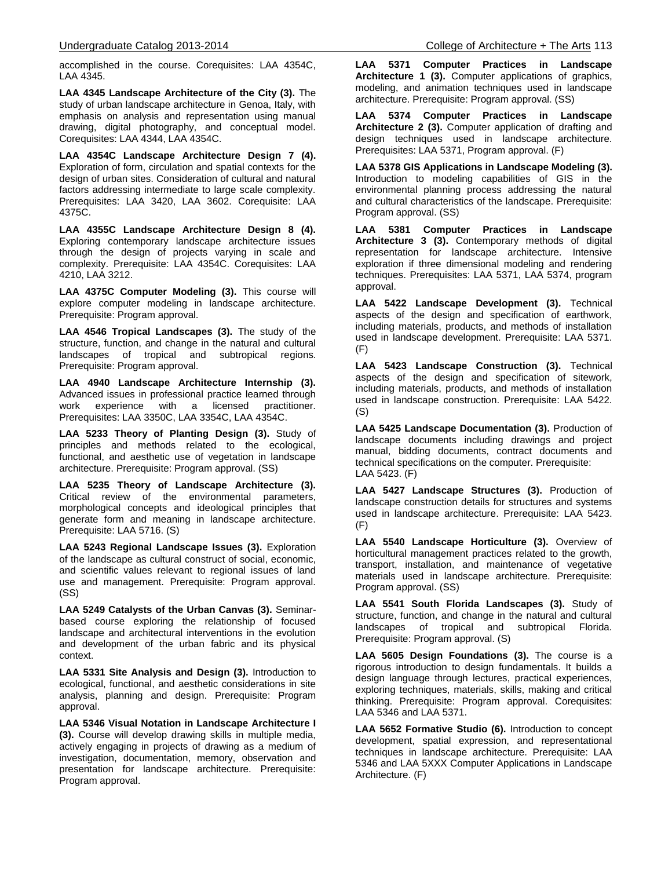accomplished in the course. Corequisites: LAA 4354C, LAA 4345.

**LAA 4345 Landscape Architecture of the City (3).** The study of urban landscape architecture in Genoa, Italy, with emphasis on analysis and representation using manual drawing, digital photography, and conceptual model. Corequisites: LAA 4344, LAA 4354C.

**LAA 4354C Landscape Architecture Design 7 (4).** Exploration of form, circulation and spatial contexts for the design of urban sites. Consideration of cultural and natural factors addressing intermediate to large scale complexity. Prerequisites: LAA 3420, LAA 3602. Corequisite: LAA 4375C.

**LAA 4355C Landscape Architecture Design 8 (4).**  Exploring contemporary landscape architecture issues through the design of projects varying in scale and complexity. Prerequisite: LAA 4354C. Corequisites: LAA 4210, LAA 3212.

**LAA 4375C Computer Modeling (3).** This course will explore computer modeling in landscape architecture. Prerequisite: Program approval.

**LAA 4546 Tropical Landscapes (3).** The study of the structure, function, and change in the natural and cultural landscapes of tropical and subtropical regions. Prerequisite: Program approval.

**LAA 4940 Landscape Architecture Internship (3).** Advanced issues in professional practice learned through work experience with a licensed practitioner. Prerequisites: LAA 3350C, LAA 3354C, LAA 4354C.

**LAA 5233 Theory of Planting Design (3).** Study of principles and methods related to the ecological, functional, and aesthetic use of vegetation in landscape architecture. Prerequisite: Program approval. (SS)

**LAA 5235 Theory of Landscape Architecture (3).** Critical review of the environmental parameters, morphological concepts and ideological principles that generate form and meaning in landscape architecture. Prerequisite: LAA 5716. (S)

**LAA 5243 Regional Landscape Issues (3).** Exploration of the landscape as cultural construct of social, economic, and scientific values relevant to regional issues of land use and management. Prerequisite: Program approval. (SS)

**LAA 5249 Catalysts of the Urban Canvas (3).** Seminarbased course exploring the relationship of focused landscape and architectural interventions in the evolution and development of the urban fabric and its physical context.

**LAA 5331 Site Analysis and Design (3).** Introduction to ecological, functional, and aesthetic considerations in site analysis, planning and design. Prerequisite: Program approval.

**LAA 5346 Visual Notation in Landscape Architecture I (3).** Course will develop drawing skills in multiple media, actively engaging in projects of drawing as a medium of investigation, documentation, memory, observation and presentation for landscape architecture. Prerequisite: Program approval.

**LAA 5371 Computer Practices in Landscape Architecture 1 (3).** Computer applications of graphics, modeling, and animation techniques used in landscape architecture. Prerequisite: Program approval. (SS)

**LAA 5374 Computer Practices in Landscape Architecture 2 (3).** Computer application of drafting and design techniques used in landscape architecture. Prerequisites: LAA 5371, Program approval. (F)

**LAA 5378 GIS Applications in Landscape Modeling (3).** Introduction to modeling capabilities of GIS in the environmental planning process addressing the natural and cultural characteristics of the landscape. Prerequisite: Program approval. (SS)

**LAA 5381 Computer Practices in Landscape Architecture 3 (3).** Contemporary methods of digital representation for landscape architecture. Intensive exploration if three dimensional modeling and rendering techniques. Prerequisites: LAA 5371, LAA 5374, program approval.

**LAA 5422 Landscape Development (3).** Technical aspects of the design and specification of earthwork, including materials, products, and methods of installation used in landscape development. Prerequisite: LAA 5371. (F)

**LAA 5423 Landscape Construction (3).** Technical aspects of the design and specification of sitework, including materials, products, and methods of installation used in landscape construction. Prerequisite: LAA 5422. (S)

**LAA 5425 Landscape Documentation (3).** Production of landscape documents including drawings and project manual, bidding documents, contract documents and technical specifications on the computer. Prerequisite: LAA 5423. (F)

**LAA 5427 Landscape Structures (3).** Production of landscape construction details for structures and systems used in landscape architecture. Prerequisite: LAA 5423. (F)

**LAA 5540 Landscape Horticulture (3).** Overview of horticultural management practices related to the growth, transport, installation, and maintenance of vegetative materials used in landscape architecture. Prerequisite: Program approval. (SS)

**LAA 5541 South Florida Landscapes (3).** Study of structure, function, and change in the natural and cultural landscapes of tropical and subtropical Florida. Prerequisite: Program approval. (S)

**LAA 5605 Design Foundations (3).** The course is a rigorous introduction to design fundamentals. It builds a design language through lectures, practical experiences, exploring techniques, materials, skills, making and critical thinking. Prerequisite: Program approval. Corequisites: LAA 5346 and LAA 5371.

**LAA 5652 Formative Studio (6).** Introduction to concept development, spatial expression, and representational techniques in landscape architecture. Prerequisite: LAA 5346 and LAA 5XXX Computer Applications in Landscape Architecture. (F)